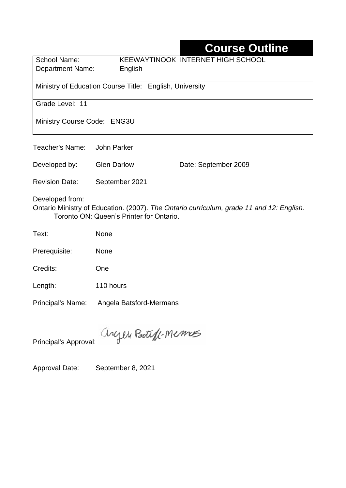# **Course Outline**

| School Name:     | KEEWAYTINOOK INTERNET HIGH SCHOOL |
|------------------|-----------------------------------|
| Department Name: | English                           |

Ministry of Education Course Title:English, University

Grade Level: 11

Ministry Course Code: ENG3U

Teacher's Name: John Parker

Developed by: Glen Darlow Date: September 2009

Revision Date: September 2021

Developed from:

Ontario Ministry of Education. (2007). *The Ontario curriculum, grade 11 and 12: English.*  Toronto ON: Queen's Printer for Ontario.

Text: None

Prerequisite: None

Credits: One

Length: 110 hours

Principal's Name: Angela Batsford-Mermans

anyen Boteff-Memos

Principal's Approval:

Approval Date: September 8, 2021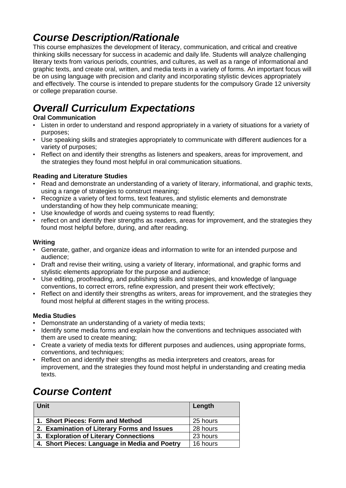## *Course Description/Rationale*

This course emphasizes the development of literacy, communication, and critical and creative thinking skills necessary for success in academic and daily life. Students will analyze challenging literary texts from various periods, countries, and cultures, as well as a range of informational and graphic texts, and create oral, written, and media texts in a variety of forms. An important focus will be on using language with precision and clarity and incorporating stylistic devices appropriately and effectively. The course is intended to prepare students for the compulsory Grade 12 university or college preparation course.

# *Overall Curriculum Expectations*

#### **Oral Communication**

- Listen in order to understand and respond appropriately in a variety of situations for a variety of purposes;
- Use speaking skills and strategies appropriately to communicate with different audiences for a variety of purposes;
- Reflect on and identify their strengths as listeners and speakers, areas for improvement, and the strategies they found most helpful in oral communication situations.

#### **Reading and Literature Studies**

- Read and demonstrate an understanding of a variety of literary, informational, and graphic texts, using a range of strategies to construct meaning;
- Recognize a variety of text forms, text features, and stylistic elements and demonstrate understanding of how they help communicate meaning;
- Use knowledge of words and cueing systems to read fluently;
- reflect on and identify their strengths as readers, areas for improvement, and the strategies they found most helpful before, during, and after reading.

#### **Writing**

- Generate, gather, and organize ideas and information to write for an intended purpose and audience;
- Draft and revise their writing, using a variety of literary, informational, and graphic forms and stylistic elements appropriate for the purpose and audience;
- Use editing, proofreading, and publishing skills and strategies, and knowledge of language conventions, to correct errors, refine expression, and present their work effectively;
- Reflect on and identify their strengths as writers, areas for improvement, and the strategies they found most helpful at different stages in the writing process.

#### **Media Studies**

- Demonstrate an understanding of a variety of media texts;
- Identify some media forms and explain how the conventions and techniques associated with them are used to create meaning;
- Create a variety of media texts for different purposes and audiences, using appropriate forms, conventions, and techniques;
- Reflect on and identify their strengths as media interpreters and creators, areas for improvement, and the strategies they found most helpful in understanding and creating media texts.

### *Course Content*

| Unit                                          | Length   |
|-----------------------------------------------|----------|
| 1. Short Pieces: Form and Method              | 25 hours |
| 2. Examination of Literary Forms and Issues   | 28 hours |
| 3. Exploration of Literary Connections        | 23 hours |
| 4. Short Pieces: Language in Media and Poetry | 16 hours |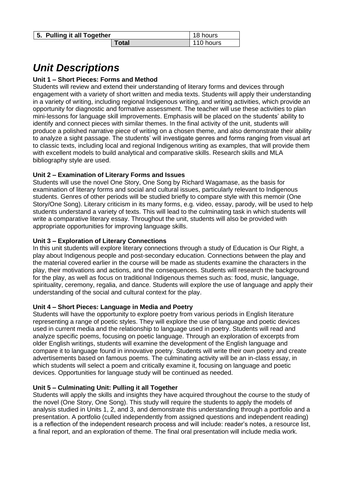| 5. Pulling it all Together |       | 18 hours  |
|----------------------------|-------|-----------|
|                            | Гоtal | 110 hours |

## *Unit Descriptions*

#### **Unit 1 – Short Pieces: Forms and Method**

Students will review and extend their understanding of literary forms and devices through engagement with a variety of short written and media texts. Students will apply their understanding in a variety of writing, including regional Indigenous writing, and writing activities, which provide an opportunity for diagnostic and formative assessment. The teacher will use these activities to plan mini-lessons for language skill improvements. Emphasis will be placed on the students' ability to identify and connect pieces with similar themes. In the final activity of the unit, students will produce a polished narrative piece of writing on a chosen theme, and also demonstrate their ability to analyze a sight passage. The students' will investigate genres and forms ranging from visual art to classic texts, including local and regional Indigenous writing as examples, that will provide them with excellent models to build analytical and comparative skills. Research skills and MLA bibliography style are used.

#### **Unit 2 – Examination of Literary Forms and Issues**

Students will use the novel One Story, One Song by Richard Wagamase, as the basis for examination of literary forms and social and cultural issues, particularly relevant to Indigenous students. Genres of other periods will be studied briefly to compare style with this memoir (One Story/One Song). Literary criticism in its many forms, e.g. video, essay, parody, will be used to help students understand a variety of texts. This will lead to the culminating task in which students will write a comparative literary essay. Throughout the unit, students will also be provided with appropriate opportunities for improving language skills.

#### **Unit 3 – Exploration of Literary Connections**

In this unit students will explore literary connections through a study of Education is Our Right, a play about Indigenous people and post-secondary education. Connections between the play and the material covered earlier in the course will be made as students examine the characters in the play, their motivations and actions, and the consequences. Students will research the background for the play, as well as focus on traditional Indigenous themes such as: food, music, language, spirituality, ceremony, regalia, and dance. Students will explore the use of language and apply their understanding of the social and cultural context for the play.

#### **Unit 4 – Short Pieces: Language in Media and Poetry**

Students will have the opportunity to explore poetry from various periods in English literature representing a range of poetic styles. They will explore the use of language and poetic devices used in current media and the relationship to language used in poetry. Students will read and analyze specific poems, focusing on poetic language. Through an exploration of excerpts from older English writings, students will examine the development of the English language and compare it to language found in innovative poetry. Students will write their own poetry and create advertisements based on famous poems. The culminating activity will be an in-class essay, in which students will select a poem and critically examine it, focusing on language and poetic devices. Opportunities for language study will be continued as needed.

#### **Unit 5 – Culminating Unit: Pulling it all Together**

Students will apply the skills and insights they have acquired throughout the course to the study of the novel (One Story, One Song). This study will require the students to apply the models of analysis studied in Units 1, 2, and 3, and demonstrate this understanding through a portfolio and a presentation. A portfolio (culled independently from assigned questions and independent reading) is a reflection of the independent research process and will include: reader's notes, a resource list, a final report, and an exploration of theme. The final oral presentation will include media work.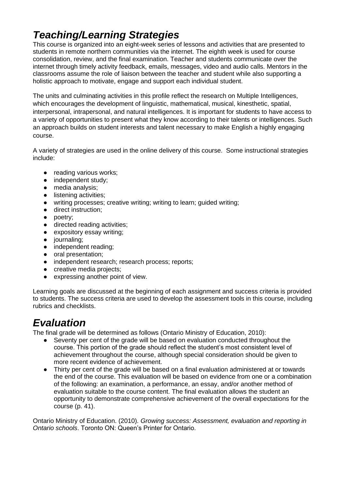## *Teaching/Learning Strategies*

This course is organized into an eight-week series of lessons and activities that are presented to students in remote northern communities via the internet. The eighth week is used for course consolidation, review, and the final examination. Teacher and students communicate over the internet through timely activity feedback, emails, messages, video and audio calls. Mentors in the classrooms assume the role of liaison between the teacher and student while also supporting a holistic approach to motivate, engage and support each individual student.

The units and culminating activities in this profile reflect the research on Multiple Intelligences, which encourages the development of linguistic, mathematical, musical, kinesthetic, spatial, interpersonal, intrapersonal, and natural intelligences. It is important for students to have access to a variety of opportunities to present what they know according to their talents or intelligences. Such an approach builds on student interests and talent necessary to make English a highly engaging course.

A variety of strategies are used in the online delivery of this course. Some instructional strategies include:

- reading various works;
- independent study;
- media analysis;
- listening activities;
- writing processes; creative writing; writing to learn; guided writing;
- direct instruction;
- poetry;
- directed reading activities;
- expository essay writing;
- journaling;
- independent reading;
- oral presentation;
- independent research; research process; reports;
- creative media projects;
- expressing another point of view.

Learning goals are discussed at the beginning of each assignment and success criteria is provided to students. The success criteria are used to develop the assessment tools in this course, including rubrics and checklists.

### *Evaluation*

The final grade will be determined as follows (Ontario Ministry of Education, 2010):

- Seventy per cent of the grade will be based on evaluation conducted throughout the course. This portion of the grade should reflect the student's most consistent level of achievement throughout the course, although special consideration should be given to more recent evidence of achievement.
- Thirty per cent of the grade will be based on a final evaluation administered at or towards the end of the course. This evaluation will be based on evidence from one or a combination of the following: an examination, a performance, an essay, and/or another method of evaluation suitable to the course content. The final evaluation allows the student an opportunity to demonstrate comprehensive achievement of the overall expectations for the course (p. 41).

Ontario Ministry of Education. (2010). *Growing success: Assessment, evaluation and reporting in Ontario schools*. Toronto ON: Queen's Printer for Ontario.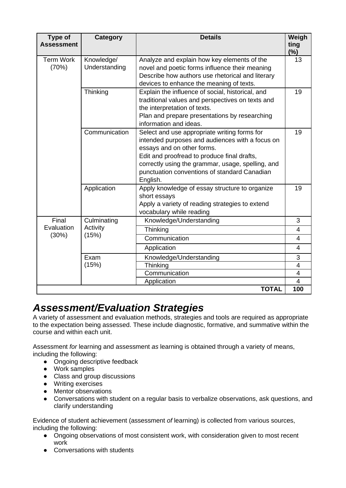| Type of<br><b>Assessment</b> | <b>Category</b>             | <b>Details</b>                                                                                                                                                                                                                                                                                | Weigh<br>ting<br>(%)    |
|------------------------------|-----------------------------|-----------------------------------------------------------------------------------------------------------------------------------------------------------------------------------------------------------------------------------------------------------------------------------------------|-------------------------|
| <b>Term Work</b><br>(70%)    | Knowledge/<br>Understanding | Analyze and explain how key elements of the<br>novel and poetic forms influence their meaning<br>Describe how authors use rhetorical and literary<br>devices to enhance the meaning of texts.                                                                                                 | 13                      |
|                              | Thinking                    | Explain the influence of social, historical, and<br>traditional values and perspectives on texts and<br>the interpretation of texts.<br>Plan and prepare presentations by researching<br>information and ideas.                                                                               | 19                      |
|                              | Communication               | Select and use appropriate writing forms for<br>intended purposes and audiences with a focus on<br>essays and on other forms.<br>Edit and proofread to produce final drafts,<br>correctly using the grammar, usage, spelling, and<br>punctuation conventions of standard Canadian<br>English. | 19                      |
|                              | Application                 | Apply knowledge of essay structure to organize<br>short essays<br>Apply a variety of reading strategies to extend<br>vocabulary while reading                                                                                                                                                 | 19                      |
| Final<br>Evaluation<br>(30%) | Culminating                 | Knowledge/Understanding                                                                                                                                                                                                                                                                       | 3                       |
|                              | Activity<br>(15%)           | Thinking                                                                                                                                                                                                                                                                                      | $\overline{4}$          |
|                              |                             | Communication                                                                                                                                                                                                                                                                                 | $\overline{4}$          |
|                              |                             | Application                                                                                                                                                                                                                                                                                   | $\overline{4}$          |
|                              | Exam<br>(15%)               | Knowledge/Understanding<br>Thinking                                                                                                                                                                                                                                                           | 3<br>4                  |
|                              |                             | Communication                                                                                                                                                                                                                                                                                 | $\overline{\mathbf{4}}$ |
|                              |                             | Application                                                                                                                                                                                                                                                                                   | 4                       |
|                              |                             | <b>TOTAL</b>                                                                                                                                                                                                                                                                                  | 100                     |

### *Assessment/Evaluation Strategies*

A variety of assessment and evaluation methods, strategies and tools are required as appropriate to the expectation being assessed. These include diagnostic, formative, and summative within the course and within each unit.

Assessment *for* learning and assessment *as* learning is obtained through a variety of means, including the following:

- Ongoing descriptive feedback
- Work samples
- Class and group discussions
- Writing exercises
- Mentor observations
- Conversations with student on a regular basis to verbalize observations, ask questions, and clarify understanding

Evidence of student achievement (assessment *of* learning) is collected from various sources, including the following:

- Ongoing observations of most consistent work, with consideration given to most recent work
- Conversations with students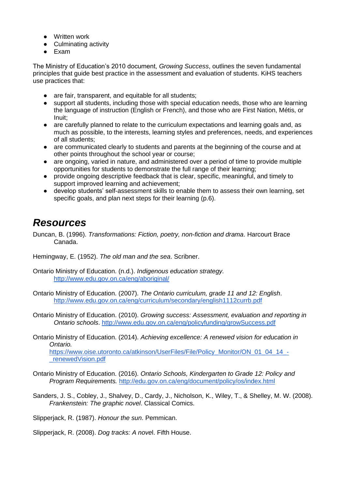- Written work
- Culminating activity
- Exam

The Ministry of Education's 2010 document, *Growing Success*, outlines the seven fundamental principles that guide best practice in the assessment and evaluation of students. KiHS teachers use practices that:

- are fair, transparent, and equitable for all students;
- support all students, including those with special education needs, those who are learning the language of instruction (English or French), and those who are First Nation, Métis, or Inuit;
- are carefully planned to relate to the curriculum expectations and learning goals and, as much as possible, to the interests, learning styles and preferences, needs, and experiences of all students;
- are communicated clearly to students and parents at the beginning of the course and at other points throughout the school year or course;
- are ongoing, varied in nature, and administered over a period of time to provide multiple opportunities for students to demonstrate the full range of their learning;
- provide ongoing descriptive feedback that is clear, specific, meaningful, and timely to support improved learning and achievement;
- develop students' self-assessment skills to enable them to assess their own learning, set specific goals, and plan next steps for their learning (p.6).

### *Resources*

Duncan, B. (1996). *Transformations: Fiction, poetry, non-fiction and drama*. Harcourt Brace Canada.

Hemingway, E. (1952). *The old man and the sea*. Scribner.

Ontario Ministry of Education. (n.d.). *Indigenous education strategy.* <http://www.edu.gov.on.ca/eng/aboriginal/>

Ontario Ministry of Education. (2007). *The Ontario curriculum, grade 11 and 12: English*. <http://www.edu.gov.on.ca/eng/curriculum/secondary/english1112currb.pdf>

Ontario Ministry of Education. (2010). *Growing success: Assessment, evaluation and reporting in Ontario schools*.<http://www.edu.gov.on.ca/eng/policyfunding/growSuccess.pdf>

Ontario Ministry of Education. (2014). *Achieving excellence: A renewed vision for education in Ontario.*  [https://www.oise.utoronto.ca/atkinson/UserFiles/File/Policy\\_Monitor/ON\\_01\\_04\\_14\\_-](https://www.oise.utoronto.ca/atkinson/UserFiles/File/Policy_Monitor/ON_01_04_14_-_renewedVision.pdf) [\\_renewedVision.pdf](https://www.oise.utoronto.ca/atkinson/UserFiles/File/Policy_Monitor/ON_01_04_14_-_renewedVision.pdf)

- Ontario Ministry of Education. (2016). *Ontario Schools, Kindergarten to Grade 12: Policy and Program Requirements.* <http://edu.gov.on.ca/eng/document/policy/os/index.html>
- Sanders, J. S., Cobley, J., Shalvey, D., Cardy, J., Nicholson, K., Wiley, T., & Shelley, M. W. (2008). *Frankenstein: The graphic novel*. Classical Comics.

Slipperjack, R. (1987). *Honour the sun*. Pemmican.

Slipperjack, R. (2008). *Dog tracks: A nove*l. Fifth House.